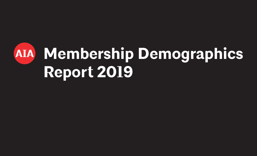# **Membership Demographics AIA Report 2019**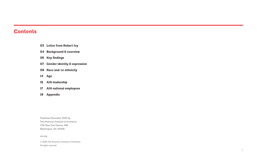# **Contents**

- **03 Letter from Robert Ivy**
- **04 Background & overview**
- **05 Key findings**
- **07 Gender identity & expression**
- **09 Race and/or ethnicity**
- **14 Age**
- **15 AIA leadership**
- **17 AIA national employees**
- **19 Appendix**

Published December 2020 by The American Institute of Architects 1735 New York Avenue, NW Washington, DC 20006

aia.org

© 2020 The American Institute of Architects All rights reserved.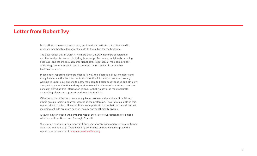### **Letter from Robert Ivy**

In an effort to be more transparent, the American Institute of Architects (AIA) presents membership demographic data to the public for the first time.

The data reflect that in 2019, AIA's more than 95,000 members consisted of architectural professionals, including licensed professionals, individuals pursuing licensure, and others on a non-traditional path. Together, all members are part of thriving community dedicated to creating a more just and sustainable built environment.

Please note, reporting demographics is fully at the discretion of our members and many have made the decision not to disclose this information. We are currently working to update our options to allow members to better describe race and ethnicity along with gender identity and expression. We ask that current and future members consider providing this information to ensure that we have the most accurate accounting of who we represent and trends in the field.

Other reports confirm what we already know: women and members of racial and ethnic groups remain underrepresented in the profession. The statistical data in this report reflect that fact. However, it is also important to note that the data show that incoming cohorts are more gender, racially and or ethnically diverse.

Also, we have included the demographics of the staff of our National office along with those of our Board and Strategic Council.

We plan on continuing this report in future years for tracking and reporting on trends within our membership. If you have any comments on how we can improve the report, please reach out to memberservices@aia.org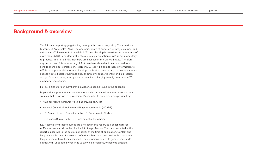### **Background & overview**

The following report aggregates key demographic trends regarding The American Institute of Architects' (AIA's) membership, board of directors, strategic council, and national staff. Please note that while AIA's membership is an extensive community of more than 95,000 architectural professionals, participation in AIA is not mandatory to practice, and not all AIA members are licensed in the United States. Therefore, any current and future reporting of AIA members should not be construed as a census of the entire profession. Additionally, reporting demographic information to AIA is not a prerequisite for membership and is strictly voluntary, and some members choose not to disclose their race and/or ethnicity, gender identity and expression, or age. In some cases, nonreporting makes it challenging to fully determine AIA's member demographics.

Full definitions for our membership categories can be found in the appendix.

Beyond this report, members and others may be interested in numerous other data sources that report on the profession. Please refer to data resources provided by:

- National Architectural Accrediting Board, Inc. (NAAB)
- National Council of Architectural Registration Boards (NCARB)
- U.S. Bureau of Labor Statistics in the U.S. Department of Labor
- U.S. Census Bureau in the U.S. Department of Commerce

Key findings from these sources are provided in this report as a benchmark for AIA's numbers and show the pipeline into the profession. The data presented in this report is accurate to the best of our ability at the time of publication. Context and language evolve over time—some definitions that have been used in the past are no longer in use or have been expanded. The definitions related to gender, race and/or ethnicity will undoubtedly continue to evolve, be replaced, or become obsolete.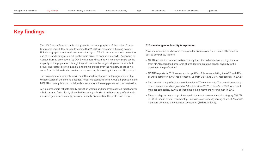# **Key findings**

The U.S. Census Bureau tracks and projects the demographics of the United States. In a recent report, the Bureau forecasts that 2030 will represent a turning point in U.S. demographics as Americans above the age of 65 will outnumber those below the age of 18, and immigration will be the main driver of population growth. According to Census Bureau projections, by 2045 white non-Hispanics will no longer make up the majority of the population, though they will remain the largest single racial or ethnic group. The fastest growth in racial and ethnic groups over the next few decades will come from individuals who are two or more races, followed by Asians and Hispanics.<sup>i</sup>

The profession of architecture will be influenced by changes in demographics of the United States in the coming decades. Reported statistics from NAAB on graduates and NCARB on newly licensed individuals show a more diverse pipeline into the profession.

AIA's membership reflects steady growth in women and underrepresented racial and/or ethnic groups. Data clearly show that incoming cohorts of architecture professionals are more gender and racially and/or ethnically diverse than the profession today.

### **AIA member gender identity & expression**

AIA's membership has become more gender diverse over time. This is attributed in part to several key factors.

- NAAB reports that women make up nearly half of enrolled students and graduates from NAAB accredited programs of architecture, creating gender diversity in the pipeline to the profession.<sup>ii</sup>
- NCARB reports in 2019 women made up 39% of those completing the ARE and 42% of those completing AXP requirements, up from 35% and 39%, respectively, in 2012.iii
- The trends in the profession are reflected in AIA's membership. The overall percentage of women members has grown by 7.3 points since 2012, to 24.4% in 2019. Across all member categories, 39.4% of first-time joining members were women in 2019.
- There is a higher percentage of women in the Associate membership category (40.2%) in 2019) than in overall membership. Likewise, a consistently strong share of Associate members obtaining their licenses are women (39.5% in 2019).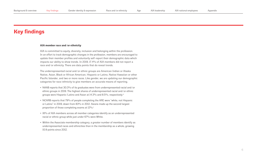### **Key findings**

#### **AIA member race and/or ethnicity**

AIA is committed to equity, diversity, inclusion and belonging within the profession. In an effort to track demographic changes in the profession, members are encouraged to update their member profiles and voluntarily self-report their demographic data which impacts our ability to show trends. In 2019, 17.4% of AIA members did not report a race and/or ethnicity. There are data points that do reveal trends.

The underrepresented racial and/or ethnic groups are American Indian or Alaska Native, Asian, Black or African American, Hispanic or Latino, Native Hawaiian or other Pacific Islander, and two or more races. Like gender, we are updating our demographic categories for race/ethnicity to give members an accurate means of reporting.

- NAAB reports that 30.3% of its graduates were from underrepresented racial and/or ethnic groups in 2019. The highest shares of underrepresented racial and/or ethnic groups were Hispanic/Latino and Asian at 14.3% and 8.5%, respectively.iv
- NCARB reports that 79% of people completing the ARE were "white, not Hispanic or Latino" in 2019, down from 83% in 2012. Asians made up the second largest proportion of those completing exams at 12%.
- 16% of AIA members across all member categories identify as an underrepresented racial or ethnic group while just under 67% were White.
- Within the Associate membership category, a greater number of members identify as underrepresented races and ethnicities than in the membership as a whole, growing 10.9 points since 2012.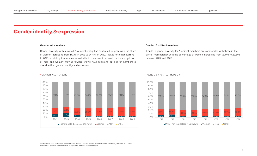### **Gender identity & expression**

#### **Gender: All members**

Gender diversity within overall AIA membership has continued to grow, with the share of women increasing from 17.1% in 2012 to 24.4% in 2019. Please note that starting in 2018, a third option was made available to members to expand the binary options of 'men' and 'women'. Moving forward, we will have additional options for members to describe their gender identity and expression.



#### **Gender: Architect members**

Trends in gender diversity for Architect members are comparable with those in the overall membership, with the percentage of women increasing from 15.7% to 22.6% between 2012 and 2019.

**>** GENDER: ALL MEMBERS **>** GENDER: ARCHITECT MEMBERS



PLEASE NOTE THAT STARTING IN 2018 MEMBERS WERE GIVEN THE OPTION 'OTHER'. MOVING FORWARD, MEMBERS WILL HAVE ADDITIONAL OPTIONS TO DESCRIBE THEIR GENDER IDENTITY AND EXPRESSION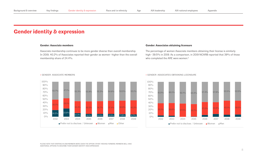### **Gender identity & expression**

#### **Gender: Associate members**

Associate membership continues to be more gender diverse than overall membership. In 2019, 40.2% of Associates reported their gender as women—higher than the overall membership share of 24.4%.

### **Gender: Associates obtaining licensure**

The percentage of women Associate members obtaining their license is similarly high—39.5% in 2019. As a comparison, in 2019 NCARB reported that 39% of those who completed the ARE were women.vi

#### **>** GENDER: ASSOCIATE MEMBERS **>** GENDER: ASSOCIATES OBTAINING LICENSURE





100%

19.2% 23.8% 10.3% 8.1% 8.0% 8.0% 7.6% 6.7% 30.1% 29.1% 34.4% 36.0% 36.7% 37.4% 38.9% 40.2%  $50.7\%$   $47.1\%$   $55.3\%$   $55.9\%$   $55.3\%$   $54.6\%$   $53.5\%$   $53.1\%$  $O^{0/6}$ 10% 20% 30% 40% 50% 60% 70% 80% 90% 2012 2013 2014 2015 2016 2017 2018 2019 **Prefer not to disclose / Unknown Women Men Other** 

PLEASE NOTE THAT STARTING IN 2018 MEMBERS WERE GIVEN THE OPTION 'OTHER'. MOVING FORWARD, MEMBERS WILL HAVE ADDITIONAL OPTIONS TO DESCRIBE THEIR GENDER IDENTITY AND EXPRESSION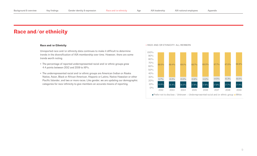### **Race and/or Ethnicity**

Unreported race and/or ethnicity data continues to make it difficult to determine trends in the diversification of AIA membership over time. However, there are some trends worth noting.

- The percentage of reported underrepresented racial and/or ethnic groups grew 4.4 points between 2012 and 2019 to 16%.
- The underrepresented racial and/or ethnic groups are American Indian or Alaska Native, Asian, Black or African American, Hispanic or Latino, Native Hawaiian or other Pacific Islander, and two or more races. Like gender, we are updating our demographic

#### **>** RACE AND/OR ETHNICITY: ALL MEMBERS

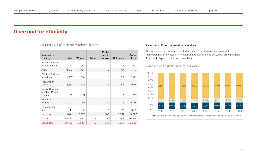**>** 2019 RACE AND/OR ETHNICITY BY GENDER IDENTITY

| Race and/or<br><b>Ethnicity</b>                 | Men    | <b>Women</b> | <b>Other</b>             | <b>Prefer</b><br>not to<br>disclose | <b>Unknown</b> | <b>Grand</b><br><b>Total</b> |
|-------------------------------------------------|--------|--------------|--------------------------|-------------------------------------|----------------|------------------------------|
| American Indian<br>or Alaska Native             | 140    | 54           | 1                        |                                     | $\overline{2}$ | 197                          |
| Asian                                           | 3,622  | 2,420        | 1                        | 7                                   | 67             | 6,117                        |
| <b>Black or African</b><br>American             | 1,367  | 634          | 1                        | 1                                   | 23             | 2,026                        |
| Hispanic or<br>Latina/ $\circ$                  | 3,319  | 1,697        | $\mathbf{1}$             | 5                                   | 54             | 5,076                        |
| Native Hawaiian<br>or Other Pacific<br>Islander | 192    | 57           | $\overline{\phantom{0}}$ |                                     | 6              | 255                          |
| Prefer not to<br>disclose                       | 1,017  | 456          | $\mathbf{1}$             | 249                                 | 12             | 1,735                        |
| Two or more<br>races                            | 1,044  | 612          | 1                        | $\overline{4}$                      | 27             | 1,688                        |
| Unknown                                         | 8,611  | 3,270        | $\qquad \qquad -$        | 105                                 | 2,941          | 14,927                       |
| White                                           | 49,013 | 14,214       | 6                        | 22                                  | 563            | 63,818                       |
| <b>Grand Total</b>                              | 68,325 | 23,414       | 12                       | 393                                 | 3,695          | 95,839                       |

### **Race and/or Ethnicity: Architect members**

The trends seen in underrepresented racial and/or ethnic groups in overall membership are reflected in Architect demographics since 2012, with growth among Asian and Hispanic or Latina/o members.

**>** RACE AND/OR ETHNICITY: ARCHITECT MEMBERS

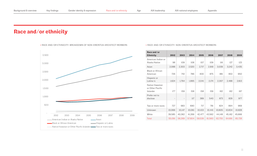#### **>** RACE AND/OR ETHNICITY: BREAKDOWN OF NON-EMERITUS ARCHITECT MEMBERS **>** RACE AND/OR ETHNICITY: NON-EMERITUS ARCHITECT MEMBERS



| Race and/or<br><b>Ethnicity</b>                        | 2012                     | 2013   | 2014   | 2015   | 2016   | 2017   | 2018   | 2019   |
|--------------------------------------------------------|--------------------------|--------|--------|--------|--------|--------|--------|--------|
| American Indian or<br>Alaska Native                    | 98                       | 109    | 108    | 107    | 109    | 116    | 127    | 123    |
| Asian                                                  | 2,088                    | 2,303  | 2,520  | 2,717  | 2,919  | 3,039  | 3,242  | 3,435  |
| Black or African<br>American                           | 726                      | 742    | 786    | 830    | 875    | 881    | 953    | 950    |
| Hispanic or<br>Latina/ $\circ$                         | 1,624                    | 1,764  | 1,895  | 2,041  | 2,174  | 2,307  | 2,488  | 2,613  |
| Native Hawaiian<br>or Other Pacific<br><b>Islander</b> | 177                      | 159    | 158    | 158    | 159    | 162    | 162    | 167    |
| Prefer not to<br>disclose                              | $\overline{\phantom{a}}$ |        | 117    | 389    | 540    | 673    | 829    | 977    |
| Two or more races                                      | 727                      | 683    | 690    | 717    | 781    | 824    | 894    | 969    |
| Unknown                                                | 10,066                   | 10,147 | 10,061 | 10,103 | 10,441 | 10,605 | 10,834 | 10,828 |
| White                                                  | 39,585                   | 40,362 | 41,269 | 42,477 | 43,562 | 44,148 | 45,162 | 45,666 |
| Total                                                  | 55,091                   | 56,269 | 57,604 | 59,539 | 61,560 | 62,755 | 64,691 | 65,728 |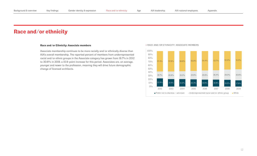### **Race and/or Ethnicity: Associate members**

Associate membership continues to be more racially and/or ethnically diverse than AIA's overall membership. The reported percent of members from underrepresented racial and/or ethnic groups in the Associate category has grown from 19.7% in 2012 to 30.6% in 2019, a 10.9-point increase for this period. Associates are, on average, younger and newer to the profession, meaning they will drive future demographic change of licensed architects.

### **>** RACE AND/OR ETHNICITY: ASSOCIATE MEMBERS

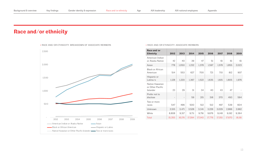

#### **>** RACE AND/OR ETHNICITY: ASSOCIATE MEMBERS

| Race and/or<br><b>Ethnicity</b>                 | 2012              | 2013   | 2014   | 2015   | 2016   | 2017   | 2018   | 2019   |
|-------------------------------------------------|-------------------|--------|--------|--------|--------|--------|--------|--------|
| American Indian<br>or Alaska Native             | 42                | 40     | 39     | 47     | 51     | 61     | 61     | 61     |
| Asian                                           | 778               | 1,050  | 1,232  | 1,378  | 1,597  | 1,578  | 1,855  | 2,023  |
| <b>Black or African</b><br>American             | 514               | 553    | 627    | 700    | 721    | 710    | 812    | 907    |
| Hispanic or<br>Latina/o                         | 1,128             | 1,220  | 1,367  | 1,522  | 1,635  | 1,615  | 1,805  | 1,976  |
| Native Hawaiian<br>or Other Pacific<br>Islander | 23                | 29     | 31     | 34     | 40     | 43     | 47     |        |
| Prefer not to<br>disclose                       | $\qquad \qquad -$ |        | 59     | 215    | 318    | 370    | 493    | 594    |
| Two or more<br>races                            | 547               | 496    | 500    | 512    | 512    | 497    | 539    | 604    |
| Unknown                                         | 3,515             | 3,471  | 3,528  | 3,341  | 3,226  | 3,029  | 2,866  | 2,662  |
| White                                           | 8,808             | 9,317  | 9,711  | 9,791  | 9,676  | 9,148  | 9,192  | 9,364  |
| Total                                           | 15,355            | 16,176 | 17,094 | 17,540 | 17,776 | 17,051 | 17,670 | 18,191 |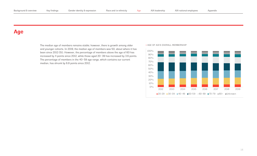### **Age**

The median age of members remains stable; however, there is growth among older > AGE OF AIA'S OVERALL MEMBERSHIP and younger cohorts. In 2019, the median age of members was 50, about where it has been since 2012 (51). However, the percentage of members above the age of 60 has increased by 4 points since 2012, while those aged 20–39 has increased by 3.6 points. The percentage of members in the 40–59 age range, which contains our current median, has shrunk by 6.8 points since 2012.

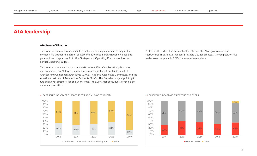### **AIA leadership**

### **AIA Board of Directors**

The board of directors' responsibilities include providing leadership to inspire the membership through the careful establishment of broad organizational values and perspectives. It approves AIA's the Strategic and Operating Plans as well as the annual Operating Budget.

The board is composed of the officers (President, First Vice President, Secretary and Treasurer), six At-large Directors, and representatives from the Council of Architectural Component Executives (CACE), National Associates Committee, and the American Institute of Architecture Students (AIAS). The President may appoint up to two additional directors, for one-year terms. The EVP/Chief Executive Officer is also a member, ex officio.

### **>** LEADERSHIP: BOARD OF DIRECTORS BY RACE AND/OR ETHNICITY



Note: In 2015, when this data collection started, the AIA's governance was restructured (Board size reduced; Strategic Council created). Its composition has varied over the years; in 2019, there were 14 members.

### Board gender **>** LEADERSHIP: BOARD OF DIRECTORS BY GENDER

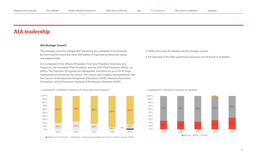### **AIA leadership**

### **AIA Strategic Council**

The strategic council is charged with advancing the profession of architecture by informing the board and other AIA bodies of important professional issues and opportunities.

It is composed of the officers (President, First Vice President, Secretary and Treasurer), the immediate Past President, and the EVP/Chief Executive Officer, ex officio. The Institute's 19 regions are represented, and there are up to 10 At-large representatives elected by the council. The council also includes representatives from the Council of Architectural Component Executives (CACE), National Associates Committee, and the American Institute of Architecture Students (AIAS).



### In 2019, there were 51 members of the strategic council.

A full overview of the AIA's governance structure can be found in its bylaws.

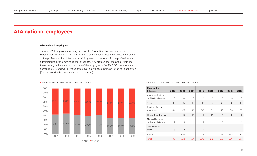### **AIA national employees**

### **AIA national employees**

There are 231 employees working in or for the AIA national office, located in Washington, DC as of 2019. They work in a diverse set of areas to advocate on behalf of the profession of architecture, providing research on trends in the profession, and administering programming to more than 95,000 professional members. Note that these demographics are not inclusive of the employees of AIA's 200+ components across the U.S. and world; these data cover only those employed in the national office. [This is how the data was collected at the time]



### **>** EMPLOYEES: GENDER OF AIA NATIONAL STAFF *Decreement of the State Campacing States in the States of the States* $\rightarrow$  **RACE AND/OR ETHNICITY: AIA NATIONAL STAFF**

| Race and/or<br><b>Ethnicity</b>        | 2012                    | 2013           | 2014         | 2015           | 2016           | 2017     | 2018         | 2019 |
|----------------------------------------|-------------------------|----------------|--------------|----------------|----------------|----------|--------------|------|
| American Indian<br>or Alaskan Native   | $\Omega$                | $\Omega$       | $\Omega$     | $\Omega$       | $\Omega$       | $\Omega$ | $\Omega$     | 0    |
| Asian                                  | 13                      | 15             | 15           | 17             | 20             | 21       | 20           | 19   |
| <b>Black or African</b><br>American    | 44                      | 45             | 46           | 53             | 52             | 56       | 60           | 57   |
| Hispanic or Latino                     | $\overline{\mathbf{1}}$ | 9              | 10           | $\mathbf{1}$   | 10             | 10       | $\mathbf{1}$ | 12   |
| Native Hawaiian<br>or Pacific Islander | $\mathcal{P}$           | 1              | $\mathbf{1}$ | $\mathbf{1}$   | 1              | 1        | 1            | 1    |
| Two or more<br>races                   | 3                       | $\overline{2}$ | 1            | $\overline{2}$ | $\overline{2}$ | $\Omega$ | 1            | 1    |
| White                                  | 120                     | 120            | 121          | 124            | 127            | 129      | 133          | 4    |
| Total                                  | 193                     | 192            | 194          | 208            | 212            | 217      | 226          | 231  |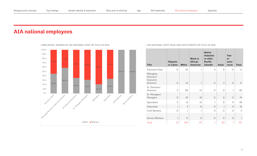# **AIA national employees**



#### **> AIA NATIONAL STAFF RACE AND/OR ETHNICITY BY TITLE IN 2019**

| <b>Title</b>                                            | <b>Hispanic</b><br>or Latino | <b>White</b>   | <b>Black or</b><br><b>African</b><br>American | <b>Native</b><br><b>Hawaiian</b><br>or other<br><b>Pacific</b><br><b>Islander</b> | <b>Asian</b>   | <b>Two</b><br>or<br>more<br>races | <b>Total</b>   |
|---------------------------------------------------------|------------------------------|----------------|-----------------------------------------------|-----------------------------------------------------------------------------------|----------------|-----------------------------------|----------------|
| Executive Team                                          | $\Omega$                     | 10             | 1                                             | $\Omega$                                                                          | $\Omega$       | $\Omega$                          | $_{\rm ll}$    |
| Managing<br>Directors/<br>Executive<br><b>Directors</b> | $\circ$                      | 14             | 1                                             | $\Omega$                                                                          | $\overline{2}$ | 0                                 | 17             |
| Sr. Directors/<br><b>Directors</b>                      | $\overline{2}$               | 56             | 14                                            | $\Omega$                                                                          | 9              | 1                                 | 82             |
| Sr. Managers/<br>Managers                               | 6                            | 42             | 18                                            | $\Omega$                                                                          | 8              | $\Omega$                          | 74             |
| Specialists                                             | $\overline{2}$               | 13             | 13                                            | $\mathbf{I}$                                                                      | $\Omega$       | $\Omega$                          | 29             |
| Associates                                              | $\mathbf{I}$                 | $\overline{4}$ | 9                                             | $\Omega$                                                                          | 1              | $\Omega$                          | 15             |
| <b>Craft Workers</b>                                    | $\Omega$                     | $\mathbf{I}$   | 1                                             | $\Omega$                                                                          | $\Omega$       | $\Omega$                          | $\overline{2}$ |
| Service Workers                                         | 1                            | $\Omega$       | $\Omega$                                      | $\Omega$                                                                          | $\Omega$       | $\Omega$                          | 1              |
| Total                                                   | 12                           | 140            | 57                                            | 1                                                                                 | 20             | 1                                 | 231            |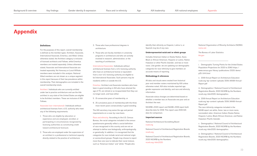### **Appendix**

#### **Definitions**

For the purposes of this report, overall membership is defined as the member types: Architect, Associate, International Associate, Emeritus, and Allied. Unless otherwise stated, the Architect category is inclusive of licensed architects and Fellows, while Emeritus members are treated separately. Unless otherwise stated, Associate and International Associate are treated separately. No Honorary or Local Affiliate members were included in this analysis. National Allied members are not shown as a unique segment in this report because of their low prevalence within membership. Their demographics are included in the overall membership totals.

Architect: Individuals who are currently entitled under law to practice architecture and use the title architect in any state of the United States are eligible to be Architect members. These are inclusive of AIA Fellows.

Associate (non-international): Individuals without architectural licenses from a U.S. authority who meet any of the following requirements:

- 1. Those who are eligible by education or experience and are employed, enrolled, or participating in circumstances recognized by licensing authorities as constituting credit toward architectural licensure.
- 2. Those who are employed under the supervision of an architect in a professional or technical capacity directly related to the practice of architecture.
- 3. Those who have professional degrees in architecture.
- 4. Those who are faculty members in university programs in architecture and who are actively involved in research, administration, or the teaching of architecture.

International Associates: Individuals without architectural licenses from a U.S. licensing authority who have an architectural license or equivalent from a non-U.S. licensing authority are eligible to be International Associates. Such persons may be residents within or outside the U.S.

Emeritus: Architect and Associate members who have been in good standing in AIA who have attained the age of 70, are retired or so incapacitated that they can no longer work, and have either:

- 5. 15 consecutive years of membership, or
- 6. 25 cumulative years of membership with the three most recent years consecutively in good standing.

The AIA secretary may waive the age and period requirements on a case-by-case basis.

Race and ethnicity: According to the U.S. Census Bureau, the racial categories included in the census questionnaire generally reflect a social definition of race recognized in this country and are not an attempt to define race biologically, anthropologically, or genetically. In addition, it is recognized that the categories for race include racial and national origin or sociocultural groups. People may choose to report more than one race to indicate their racial mixture, such as "American Indian" and "white." People who

identify their ethnicity as Hispanic, Latina/o, or Spanish may be of any race.

#### **Underrepresented racial and/or ethnic groups**

Includes American Indian or Alaska Native, Asian, Black or African American, Hispanic or Latino, Native Hawaiian or other Pacific Islander, and two or more races. Like gender, we are updating our demographic categories for race/ethnicity to give members an accurate means of reporting.

#### **Methodology & references**

All data and visuals were created from historical year-end member rosters maintained by AIA unless otherwise noted. AIA data includes reported age, gender expression and identity, and race and ethnicity information.

Associate status changes are determined based on whether a member was an Associate one year and an Architect the next.

NCARB's 2020 report and NAAB's 2019 report both describe data for 2019. This report uses 2019 AIA data for comparison.

#### **Important sources**

National Architectural Accrediting Board naab.org

National Council of Architectural Registration Boards ncarb.org

National Council of Architectural Registration Boards, 2020 NCARB by the Numbers ncarb.org/nbtn2020

National Organization of Minority Architects (NOMA) noma.net

The Bureau of Labor Statistics bls.gov

i. Demographic Turning Points for the United States: Population Projections for 2020 to 2060 https:// www.census.gov/library/publications/2020/demo/ p25-1144.html

ii. 2019 Annual Report on Architecture Education naab.org/wp-content/uploads/2019\_NAAB-Annual-Report.pdf

iii. Demographics | National Council of Architectural Registration Boards, 2020 NCARB by the Numbers ncarb.org/nbtn2020/demographics

iv. 2019 Annual Report on Architecture Education naab.org/wp-content/uploads/2019\_NAAB-Annual-Report.pdf

The race/ethnicity categories included in the NAAB report are white, Asian, two or more races, nonresident alien, American Indian/Alaska Native, Hispanic/Latino, Black/African American, and Native Hawaiian/Pacific Islander.

v. Demographics | National Council of Architectural Registration Boards, 2020 NCARB by the Numbers ncarb.org/nbtn2020/demographics

vi. Demographics | National Council of Architectural Registration Boards, 2020 NCARB by the Numbers ncarb.org/nbtn2020/demographics